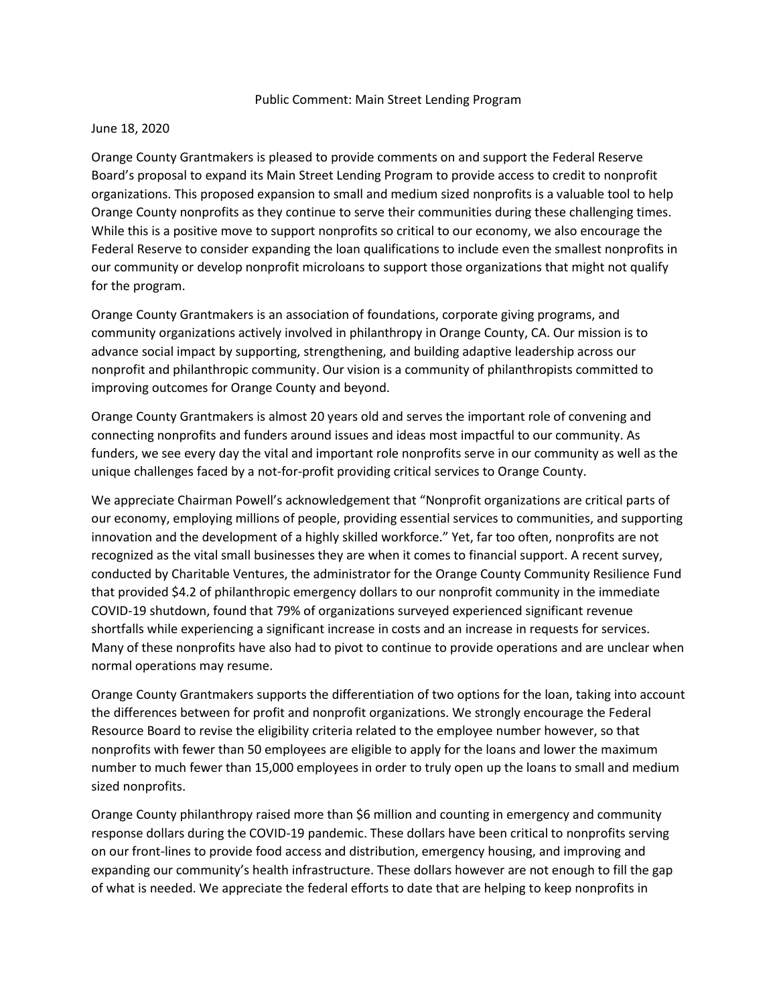## Public Comment: Main Street Lending Program

## June 18, 2020

Orange County Grantmakers is pleased to provide comments on and support the Federal Reserve Board's proposal to expand its Main Street Lending Program to provide access to credit to nonprofit organizations. This proposed expansion to small and medium sized nonprofits is a valuable tool to help Orange County nonprofits as they continue to serve their communities during these challenging times. While this is a positive move to support nonprofits so critical to our economy, we also encourage the Federal Reserve to consider expanding the loan qualifications to include even the smallest nonprofits in our community or develop nonprofit microloans to support those organizations that might not qualify for the program.

Orange County Grantmakers is an association of foundations, corporate giving programs, and community organizations actively involved in philanthropy in Orange County, CA. Our mission is to advance social impact by supporting, strengthening, and building adaptive leadership across our nonprofit and philanthropic community. Our vision is a community of philanthropists committed to improving outcomes for Orange County and beyond.

Orange County Grantmakers is almost 20 years old and serves the important role of convening and connecting nonprofits and funders around issues and ideas most impactful to our community. As funders, we see every day the vital and important role nonprofits serve in our community as well as the unique challenges faced by a not-for-profit providing critical services to Orange County.

We appreciate Chairman Powell's acknowledgement that "Nonprofit organizations are critical parts of our economy, employing millions of people, providing essential services to communities, and supporting innovation and the development of a highly skilled workforce." Yet, far too often, nonprofits are not recognized as the vital small businesses they are when it comes to financial support. A recent survey, conducted by Charitable Ventures, the administrator for the Orange County Community Resilience Fund that provided \$4.2 of philanthropic emergency dollars to our nonprofit community in the immediate COVID-19 shutdown, found that 79% of organizations surveyed experienced significant revenue shortfalls while experiencing a significant increase in costs and an increase in requests for services. Many of these nonprofits have also had to pivot to continue to provide operations and are unclear when normal operations may resume.

Orange County Grantmakers supports the differentiation of two options for the loan, taking into account the differences between for profit and nonprofit organizations. We strongly encourage the Federal Resource Board to revise the eligibility criteria related to the employee number however, so that nonprofits with fewer than 50 employees are eligible to apply for the loans and lower the maximum number to much fewer than 15,000 employees in order to truly open up the loans to small and medium sized nonprofits.

Orange County philanthropy raised more than \$6 million and counting in emergency and community response dollars during the COVID-19 pandemic. These dollars have been critical to nonprofits serving on our front-lines to provide food access and distribution, emergency housing, and improving and expanding our community's health infrastructure. These dollars however are not enough to fill the gap of what is needed. We appreciate the federal efforts to date that are helping to keep nonprofits in